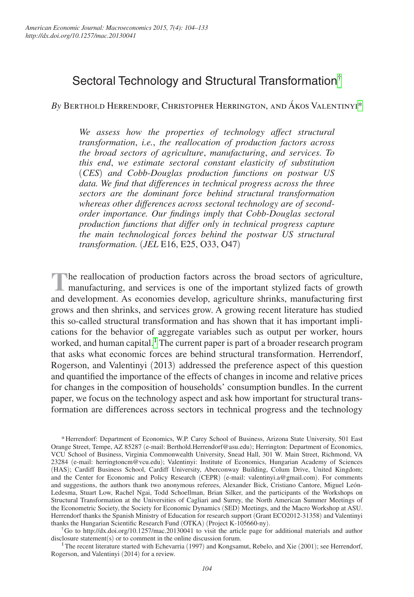# Sectoral Technology and Structural Transformation[†](#page-0-0)

*By* Berthold Herrendorf, Christopher Herrington, and Ákos Valentiny[i\\*](#page-0-1)

*We assess how the properties of technology affect structural transformation*, *i.e.*, *the reallocation of production factors across the broad sectors of agriculture*, *manufacturing*, *and services. To this end*, *we estimate sectoral constant elasticity of substitution*  (*CES*) *and Cobb-Douglas production functions on postwar US data. We find that differences in technical progress across the three sectors are the dominant force behind structural transformation whereas other differences across sectoral technology are of secondorder importance. Our findings imply that Cobb-Douglas sectoral production functions that differ only in technical progress capture the main technological forces behind the postwar US structural transformation.* (*JEL* E16, E25, O33, O47)

**The reallocation of production factors across the broad sectors of agriculture, I** manufacturing, and services is one of the important stylized facts of growth and development. As economies develop, agriculture shrinks, manufacturing first grows and then shrinks, and services grow. A growing recent literature has studied this so-called structural transformation and has shown that it has important implications for the behavior of aggregate variables such as output per worker, hours worked, and human capital.<sup>1</sup> The current paper is part of a broader research program that asks what economic forces are behind structural transformation. Herrendorf, Rogerson, and Valentinyi (2013) addressed the preference aspect of this question and quantified the importance of the effects of changes in income and relative prices for changes in the composition of households' consumption bundles. In the current paper, we focus on the technology aspect and ask how important for structural transformation are differences across sectors in technical progress and the technology

<span id="page-0-0"></span><sup>†</sup>Go to http://dx.doi.org/10.1257/mac.20130041 to visit the article page for additional materials and author disclosure statement(s) or to comment in the online discussion forum.

<span id="page-0-2"></span><sup>1</sup>The recent literature started with Echevarria (1997) and Kongsamut, Rebelo, and Xie (2001); see Herrendorf, Rogerson, and Valentinyi (2014) for a review.

<span id="page-0-1"></span><sup>\*</sup>Herrendorf: Department of Economics, W.P. Carey School of Business, Arizona State University, 501 East Orange Street, Tempe, AZ 85287 (e-mail: Berthold.Herrendorf@asu.edu); Herrington: Department of Economics, VCU School of Business, Virginia Commonwealth University, Snead Hall, 301 W. Main Street, Richmond, VA 23284 (e-mail: herringtoncm@vcu.edu); Valentinyi: Institute of Economics, Hungarian Academy of Sciences (HAS); Cardiff Business School, Cardiff University, Aberconway Building, Colum Drive, United Kingdom; and the Center for Economic and Policy Research (CEPR) (e-mail: valentinyi.a@gmail.com). For comments and suggestions, the authors thank two anonymous referees, Alexander Bick, Cristiano Cantore, Miguel León-Ledesma, Stuart Low, Rachel Ngai, Todd Schoellman, Brian Silker, and the participants of the Workshops on Structural Transformation at the Universities of Cagliari and Surrey, the North American Summer Meetings of the Econometric Society, the Society for Economic Dynamics (SED) Meetings, and the Macro Workshop at ASU. Herrendorf thanks the Spanish Ministry of Education for research support (Grant ECO2012-31358) and Valentinyi thanks the Hungarian Scientific Research Fund (OTKA) (Project K-105660-ny).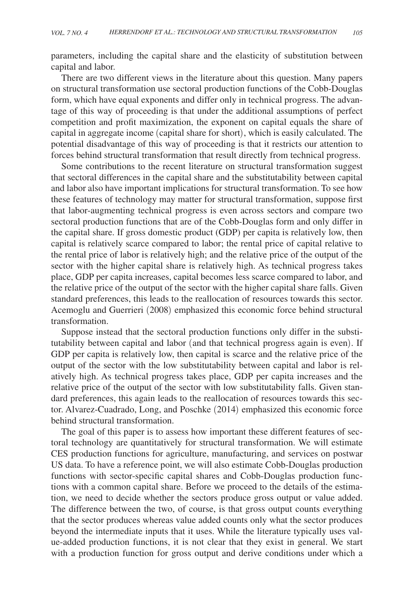parameters, including the capital share and the elasticity of substitution between capital and labor.

There are two different views in the literature about this question. Many papers on structural transformation use sectoral production functions of the Cobb-Douglas form, which have equal exponents and differ only in technical progress. The advantage of this way of proceeding is that under the additional assumptions of perfect competition and profit maximization, the exponent on capital equals the share of capital in aggregate income (capital share for short), which is easily calculated. The potential disadvantage of this way of proceeding is that it restricts our attention to forces behind structural transformation that result directly from technical progress.

Some contributions to the recent literature on structural transformation suggest that sectoral differences in the capital share and the substitutability between capital and labor also have important implications for structural transformation. To see how these features of technology may matter for structural transformation, suppose first that labor-augmenting technical progress is even across sectors and compare two sectoral production functions that are of the Cobb-Douglas form and only differ in the capital share. If gross domestic product (GDP) per capita is relatively low, then capital is relatively scarce compared to labor; the rental price of capital relative to the rental price of labor is relatively high; and the relative price of the output of the sector with the higher capital share is relatively high. As technical progress takes place, GDP per capita increases, capital becomes less scarce compared to labor, and the relative price of the output of the sector with the higher capital share falls. Given standard preferences, this leads to the reallocation of resources towards this sector. Acemoglu and Guerrieri (2008) emphasized this economic force behind structural transformation.

Suppose instead that the sectoral production functions only differ in the substitutability between capital and labor (and that technical progress again is even). If GDP per capita is relatively low, then capital is scarce and the relative price of the output of the sector with the low substitutability between capital and labor is relatively high. As technical progress takes place, GDP per capita increases and the relative price of the output of the sector with low substitutability falls. Given standard preferences, this again leads to the reallocation of resources towards this sector. Alvarez-Cuadrado, Long, and Poschke (2014) emphasized this economic force behind structural transformation.

The goal of this paper is to assess how important these different features of sectoral technology are quantitatively for structural transformation. We will estimate CES production functions for agriculture, manufacturing, and services on postwar US data. To have a reference point, we will also estimate Cobb-Douglas production functions with sector-specific capital shares and Cobb-Douglas production functions with a common capital share. Before we proceed to the details of the estimation, we need to decide whether the sectors produce gross output or value added. The difference between the two, of course, is that gross output counts everything that the sector produces whereas value added counts only what the sector produces beyond the intermediate inputs that it uses. While the literature typically uses value-added production functions, it is not clear that they exist in general. We start with a production function for gross output and derive conditions under which a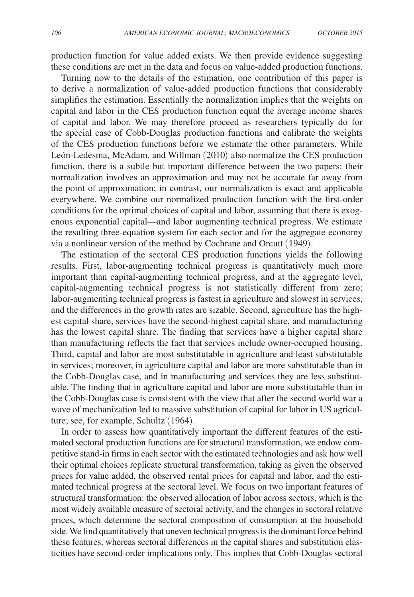production function for value added exists. We then provide evidence suggesting these conditions are met in the data and focus on value-added production functions.

Turning now to the details of the estimation, one contribution of this paper is to derive a normalization of value-added production functions that considerably simplifies the estimation. Essentially the normalization implies that the weights on capital and labor in the CES production function equal the average income shares of capital and labor. We may therefore proceed as researchers typically do for the special case of Cobb-Douglas production functions and calibrate the weights of the CES production functions before we estimate the other parameters. While León-Ledesma, McAdam, and Willman (2010) also normalize the CES production function, there is a subtle but important difference between the two papers: their normalization involves an approximation and may not be accurate far away from the point of approximation; in contrast, our normalization is exact and applicable everywhere. We combine our normalized production function with the first-order conditions for the optimal choices of capital and labor, assuming that there is exogenous exponential capital—and labor augmenting technical progress. We estimate the resulting three-equation system for each sector and for the aggregate economy via a nonlinear version of the method by Cochrane and Orcutt (1949).

The estimation of the sectoral CES production functions yields the following results. First, labor-augmenting technical progress is quantitatively much more important than capital-augmenting technical progress, and at the aggregate level, capital-augmenting technical progress is not statistically different from zero; labor-augmenting technical progress is fastest in agriculture and slowest in services, and the differences in the growth rates are sizable. Second, agriculture has the highest capital share, services have the second-highest capital share, and manufacturing has the lowest capital share. The finding that services have a higher capital share than manufacturing reflects the fact that services include owner-occupied housing. Third, capital and labor are most substitutable in agriculture and least substitutable in services; moreover, in agriculture capital and labor are more substitutable than in the Cobb-Douglas case, and in manufacturing and services they are less substitutable. The finding that in agriculture capital and labor are more substitutable than in the Cobb-Douglas case is consistent with the view that after the second world war a wave of mechanization led to massive substitution of capital for labor in US agriculture; see, for example, Schultz (1964).

In order to assess how quantitatively important the different features of the estimated sectoral production functions are for structural transformation, we endow competitive stand-in firms in each sector with the estimated technologies and ask how well their optimal choices replicate structural transformation, taking as given the observed prices for value added, the observed rental prices for capital and labor, and the estimated technical progress at the sectoral level. We focus on two important features of structural transformation: the observed allocation of labor across sectors, which is the most widely available measure of sectoral activity, and the changes in sectoral relative prices, which determine the sectoral composition of consumption at the household side. We find quantitatively that uneven technical progress is the dominant force behind these features, whereas sectoral differences in the capital shares and substitution elasticities have second-order implications only. This implies that Cobb-Douglas sectoral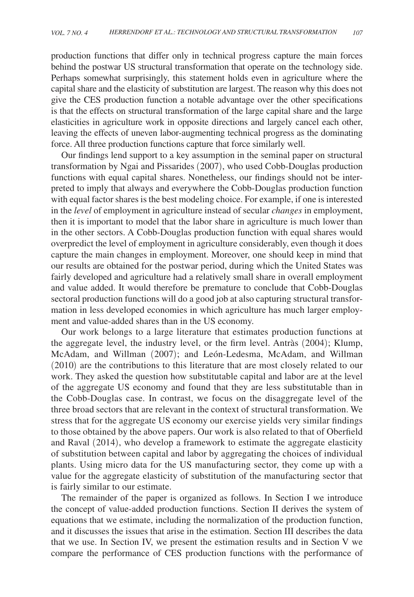production functions that differ only in technical progress capture the main forces behind the postwar US structural transformation that operate on the technology side. Perhaps somewhat surprisingly, this statement holds even in agriculture where the capital share and the elasticity of substitution are largest. The reason why this does not give the CES production function a notable advantage over the other specifications is that the effects on structural transformation of the large capital share and the large elasticities in agriculture work in opposite directions and largely cancel each other, leaving the effects of uneven labor-augmenting technical progress as the dominating force. All three production functions capture that force similarly well.

Our findings lend support to a key assumption in the seminal paper on structural transformation by Ngai and Pissarides (2007), who used Cobb-Douglas production functions with equal capital shares. Nonetheless, our findings should not be interpreted to imply that always and everywhere the Cobb-Douglas production function with equal factor shares is the best modeling choice. For example, if one is interested in the *level* of employment in agriculture instead of secular *changes* in employment, then it is important to model that the labor share in agriculture is much lower than in the other sectors. A Cobb-Douglas production function with equal shares would overpredict the level of employment in agriculture considerably, even though it does capture the main changes in employment. Moreover, one should keep in mind that our results are obtained for the postwar period, during which the United States was fairly developed and agriculture had a relatively small share in overall employment and value added. It would therefore be premature to conclude that Cobb-Douglas sectoral production functions will do a good job at also capturing structural transformation in less developed economies in which agriculture has much larger employment and value-added shares than in the US economy.

Our work belongs to a large literature that estimates production functions at the aggregate level, the industry level, or the firm level. Antràs (2004); Klump, McAdam, and Willman (2007); and León-Ledesma, McAdam, and Willman (2010) are the contributions to this literature that are most closely related to our work. They asked the question how substitutable capital and labor are at the level of the aggregate US economy and found that they are less substitutable than in the Cobb-Douglas case. In contrast, we focus on the disaggregate level of the three broad sectors that are relevant in the context of structural transformation. We stress that for the aggregate US economy our exercise yields very similar findings to those obtained by the above papers. Our work is also related to that of Oberfield and Raval (2014), who develop a framework to estimate the aggregate elasticity of substitution between capital and labor by aggregating the choices of individual plants. Using micro data for the US manufacturing sector, they come up with a value for the aggregate elasticity of substitution of the manufacturing sector that is fairly similar to our estimate.

The remainder of the paper is organized as follows. In Section I we introduce the concept of value-added production functions. Section II derives the system of equations that we estimate, including the normalization of the production function, and it discusses the issues that arise in the estimation. Section III describes the data that we use. In Section IV, we present the estimation results and in Section V we compare the performance of CES production functions with the performance of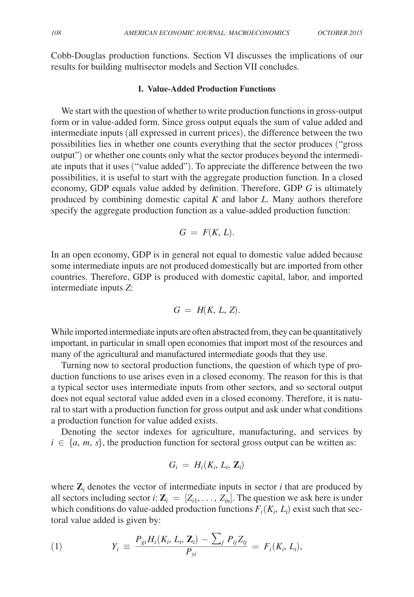Cobb-Douglas production functions. Section VI discusses the implications of our results for building multisector models and Section VII concludes.

#### **I. Value-Added Production Functions**

We start with the question of whether to write production functions in gross-output form or in value-added form. Since gross output equals the sum of value added and intermediate inputs (all expressed in current prices), the difference between the two possibilities lies in whether one counts everything that the sector produces ("gross output") or whether one counts only what the sector produces beyond the intermediate inputs that it uses ("value added"). To appreciate the difference between the two possibilities, it is useful to start with the aggregate production function. In a closed economy, GDP equals value added by definition. Therefore, GDP *G* is ultimately produced by combining domestic capital *K* and labor *L*. Many authors therefore specify the aggregate production function as a value-added production function:

$$
G = F(K, L).
$$

In an open economy, GDP is in general not equal to domestic value added because some intermediate inputs are not produced domestically but are imported from other countries. Therefore, GDP is produced with domestic capital, labor, and imported intermediate inputs *Z*:

$$
G = H(K, L, Z).
$$

While imported intermediate inputs are often abstracted from, they can be quantitatively important, in particular in small open economies that import most of the resources and many of the agricultural and manufactured intermediate goods that they use.

Turning now to sectoral production functions, the question of which type of production functions to use arises even in a closed economy. The reason for this is that a typical sector uses intermediate inputs from other sectors, and so sectoral output does not equal sectoral value added even in a closed economy. Therefore, it is natural to start with a production function for gross output and ask under what conditions a production function for value added exists.

Denoting the sector indexes for agriculture, manufacturing, and services by  $i \in \{a, m, s\}$ , the production function for sectoral gross output can be written as:

$$
G_i = H_i(K_i, L_i, \mathbf{Z}_i)
$$

where  $\mathbf{Z}_i$  denotes the vector of intermediate inputs in sector  $i$  that are produced by all sectors including sector *i*:  $\mathbf{Z}_i = [Z_{i1}, \ldots, Z_{in}]$ . The question we ask here is under which conditions do value-added production functions  $F_i(K_i, L_i)$  exist such that sectoral value added is given by:

total value added is given by:

\n
$$
Y_i \equiv \frac{P_{gi}H_i(K_i, L_i, \mathbf{Z}_i) - \sum_j P_{ij}Z_{ij}}{P_{yi}} = F_i(K_i, L_i),
$$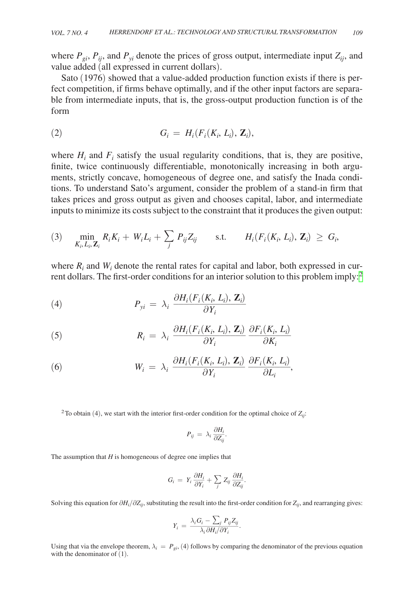where  $P_{qi}$ ,  $P_{ij}$ , and  $P_{vi}$  denote the prices of gross output, intermediate input  $Z_{ij}$ , and value added (all expressed in current dollars).

Sato (1976) showed that a value-added production function exists if there is perfect competition, if firms behave optimally, and if the other input factors are separable from intermediate inputs, that is, the gross-output production function is of the form

$$
G_i = H_i(F_i(K_i, L_i), \mathbf{Z}_i),
$$

where  $H_i$  and  $F_i$  satisfy the usual regularity conditions, that is, they are positive, finite, twice continuously differentiable, monotonically increasing in both arguments, strictly concave, homogeneous of degree one, and satisfy the Inada conditions. To understand Sato's argument, consider the problem of a stand-in firm that takes prices and gross output as given and chooses capital, labor, and intermediate inputs to minimize its costs subject to the constraint that it produces the given output:

(3) 
$$
\min_{K_i, L_i, \mathbf{Z}_i} R_i K_i + W_i L_i + \sum_j P_{ij} Z_{ij} \quad \text{s.t.} \quad H_i(F_i(K_i, L_i), \mathbf{Z}_i) \geq G_i,
$$

where  $R_i$  and  $W_i$  denote the rental rates for capital and labor, both expressed in cur-

rent dollars. The first-order conditions for an interior solution to this problem imply:<sup>2</sup>  
(4) 
$$
P_{yi} = \lambda_i \frac{\partial H_i(F_i(K_i, L_i), \mathbf{Z}_i)}{\partial Y_i}
$$

(5) 
$$
R_{i} = \lambda_{i} \frac{\partial H_{i}(F_{i}(K_{i}, L_{i}), \mathbf{Z}_{i})}{\partial Y_{i}} \frac{\partial F_{i}(K_{i}, L_{i})}{\partial K_{i}}
$$

(6)  
\n
$$
W_{i} = \lambda_{i} \frac{\partial H_{i}(F_{i}(K_{i}, L_{i}), \mathbf{Z}_{i})}{\partial Y_{i}} \frac{\partial F_{i}(K_{i}, L_{i})}{\partial L_{i}},
$$

<span id="page-5-0"></span><sup>2</sup>To obtain (4), we start with the interior first-order condition for the optimal choice of  $Z_{ii}$ :

$$
P_{ij} \, = \, \lambda_i \, \frac{\partial H_i}{\partial Z_{ij}}.
$$

The assumption that *H* is homogeneous of degree one implies that

$$
G_i = Y_i \frac{\partial H_i}{\partial Y_i} + \sum_j Z_{ij} \frac{\partial H_i}{\partial Z_{ij}}.
$$

Solving this equation for  $\partial H_i/\partial Z_{ij}$ , substituting the result into the first-order condition for  $Z_{ij}$ , and rearranging gives:

$$
Y_i = \frac{\lambda_i G_i - \sum_j P_{ij} Z_{ij}}{\lambda_i \partial H_i / \partial Y_i}.
$$

Using that via the envelope theorem,  $\lambda_i = P_{gi}$ , (4) follows by comparing the denominator of the previous equation with the denominator of  $(1)$ .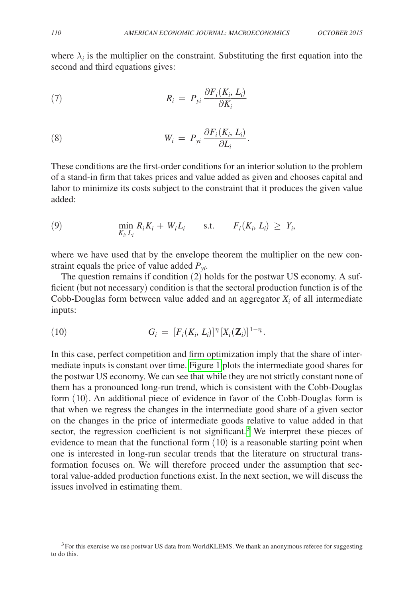where  $\lambda_i$  is the multiplier on the constraint. Substituting the first equation into the second and third equations gives:

$$
R_i = P_{yi} \frac{\partial F_i(K_i, L_i)}{\partial K_i}
$$

(8) 
$$
W_i = P_{yi} \frac{\partial F_i(K_i, L_i)}{\partial L_i}.
$$

These conditions are the first-order conditions for an interior solution to the problem of a stand-in firm that takes prices and value added as given and chooses capital and labor to minimize its costs subject to the constraint that it produces the given value added:

(9) 
$$
\min_{K_i, L_i} R_i K_i + W_i L_i \quad \text{s.t.} \quad F_i(K_i, L_i) \geq Y_i,
$$

where we have used that by the envelope theorem the multiplier on the new constraint equals the price of value added  $P_{yi}$ .

The question remains if condition (2) holds for the postwar US economy. A sufficient (but not necessary) condition is that the sectoral production function is of the Cobb-Douglas form between value added and an aggregator  $X_i$  of all intermediate inputs:

(10) 
$$
G_i = [F_i(K_i, L_i)]^{\eta_i} [X_i(\mathbf{Z}_i)]^{1-\eta_i}.
$$

In this case, perfect competition and firm optimization imply that the share of intermediate inputs is constant over time. [Figure 1](#page-7-0) plots the intermediate good shares for the postwar US economy. We can see that while they are not strictly constant none of them has a pronounced long-run trend, which is consistent with the Cobb-Douglas form (10). An additional piece of evidence in favor of the Cobb-Douglas form is that when we regress the changes in the intermediate good share of a given sector on the changes in the price of intermediate goods relative to value added in that sector, the regression coefficient is not significant.<sup>[3](#page-6-0)</sup> We interpret these pieces of evidence to mean that the functional form (10) is a reasonable starting point when one is interested in long-run secular trends that the literature on structural transformation focuses on. We will therefore proceed under the assumption that sectoral value-added production functions exist. In the next section, we will discuss the issues involved in estimating them.

<span id="page-6-0"></span><sup>&</sup>lt;sup>3</sup>For this exercise we use postwar US data from WorldKLEMS. We thank an anonymous referee for suggesting to do this.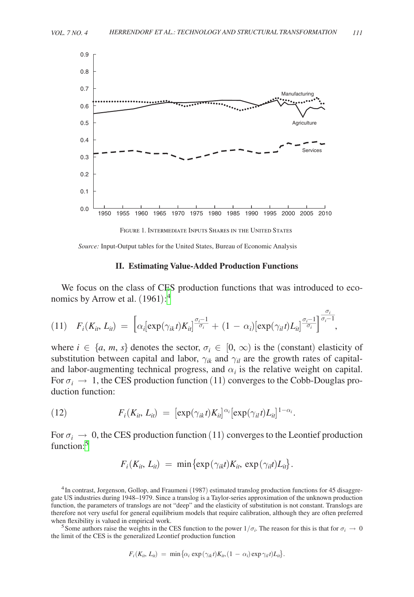<span id="page-7-0"></span>

*Source:* Input-Output tables for the United States, Bureau of Economic Analysis

# **II. Estimating Value-Added Production Functions**

We focus on the class of CES production functions that was introduced to economics by Arrow et al.  $(1961)$ :<sup>[4](#page-7-1)</sup>

$$
(11) \quad F_i(K_{it}, L_{it}) = \left[\alpha_i \left[\exp(\gamma_{ik}t)K_{it}\right]^{\frac{\sigma_i-1}{\sigma_i}} + (1-\alpha_i)\left[\exp(\gamma_{it}t)L_{it}\right]^{\frac{\sigma_i-1}{\sigma_i}}\right]^{\frac{\sigma_i}{\sigma_i-1}},
$$

where  $i \in \{a, m, s\}$  denotes the sector,  $\sigma_i \in [0, \infty)$  is the (constant) elasticity of substitution between capital and labor,  $\gamma_{ik}$  and  $\gamma_{il}$  are the growth rates of capitaland labor-augmenting technical progress, and  $\alpha_i$  is the relative weight on capital. For  $\sigma_i \rightarrow 1$ , the CES production function (11) converges to the Cobb-Douglas production function:

(12) 
$$
F_i(K_{it}, L_{it}) = [\exp(\gamma_{ik}t)K_{it}]^{\alpha_i}[\exp(\gamma_{it}t)L_{it}]^{1-\alpha_i}.
$$

For  $\sigma_i \rightarrow 0$ , the CES production function (11) converges to the Leontief production function:<sup>[5](#page-7-2)</sup>

$$
F_i(K_{ii}, L_{ii}) = \min \{ \exp(\gamma_{ik}t)K_{ii}, \exp(\gamma_{il}t)L_{ii} \}.
$$

<span id="page-7-1"></span>4In contrast, Jorgenson, Gollop, and Fraumeni (1987) estimated translog production functions for 45 disaggregate US industries during 1948–1979. Since a translog is a Taylor-series approximation of the unknown production function, the parameters of translogs are not "deep" and the elasticity of substitution is not constant. Translogs are therefore not very useful for general equilibrium models that require calibration, although they are often preferred

<span id="page-7-2"></span>when flexibility is valued in empirical work.<br><sup>5</sup>Some authors raise the weights in the CES function to the power  $1/\sigma_i$ . The reason for this is that for  $\sigma_i \to 0$ the limit of the CES is the generalized Leontief production function

$$
F_i(K_{it}, L_{it}) = \min \{ \alpha_i \exp(\gamma_{it} t) K_{it}, (1 - \alpha_i) \exp \gamma_{it} t) L_{it} \}.
$$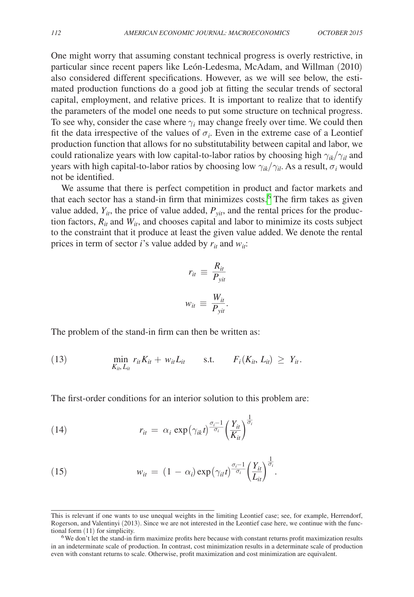One might worry that assuming constant technical progress is overly restrictive, in particular since recent papers like León-Ledesma, McAdam, and Willman (2010) also considered different specifications. However, as we will see below, the estimated production functions do a good job at fitting the secular trends of sectoral capital, employment, and relative prices. It is important to realize that to identify the parameters of the model one needs to put some structure on technical progress. To see why, consider the case where  $\gamma_i$  may change freely over time. We could then fit the data irrespective of the values of  $\sigma_i$ . Even in the extreme case of a Leontief production function that allows for no substitutability between capital and labor, we could rationalize years with low capital-to-labor ratios by choosing high  $\gamma_{ik}/\gamma_{il}$  and years with high capital-to-labor ratios by choosing low  $\gamma_{ik}/\gamma_{il}$ . As a result,  $\sigma_i$  would not be identified.

We assume that there is perfect competition in product and factor markets and that each sector has a stand-in firm that minimizes costs.<sup>[6](#page-8-0)</sup> The firm takes as given value added,  $Y_{it}$ , the price of value added,  $P_{vit}$ , and the rental prices for the production factors,  $R_{it}$  and  $W_{it}$ , and chooses capital and labor to minimize its costs subject to the constraint that it produce at least the given value added. We denote the rental prices in term of sector *i*'s value added by  $r_{it}$  and  $w_{it}$ :

$$
r_{it} \equiv \frac{R_{it}}{P_{yit}}
$$

$$
w_{it} \equiv \frac{W_{it}}{P_{yit}}.
$$

The problem of the stand-in firm can then be written as:

(13) 
$$
\min_{K_{in}, L_{it}} r_{it} K_{it} + w_{it} L_{it} \quad \text{s.t.} \quad F_i(K_{it}, L_{it}) \geq Y_{it}.
$$

The first-order conditions for an interior solution to this problem are:

(14) 
$$
r_{it} = \alpha_i \exp\left(\gamma_{ik}t\right)^{\frac{\sigma_i - 1}{\sigma_i}} \left(\frac{Y_{it}}{K_{it}}\right)^{\frac{1}{\sigma_i}}
$$

(15) 
$$
w_{it} = (1 - \alpha_i) \exp(\gamma_{it} t)^{\frac{\sigma_i - 1}{\sigma_i}} \left(\frac{Y_{it}}{L_{it}}\right)^{\frac{1}{\sigma_i}}.
$$

This is relevant if one wants to use unequal weights in the limiting Leontief case; see, for example, Herrendorf, Rogerson, and Valentinyi (2013). Since we are not interested in the Leontief case here, we continue with the func-<br>tional form (11) for simplicity.

<span id="page-8-0"></span><sup>&</sup>lt;sup>6</sup>We don't let the stand-in firm maximize profits here because with constant returns profit maximization results in an indeterminate scale of production. In contrast, cost minimization results in a determinate scale of production even with constant returns to scale. Otherwise, profit maximization and cost minimization are equivalent.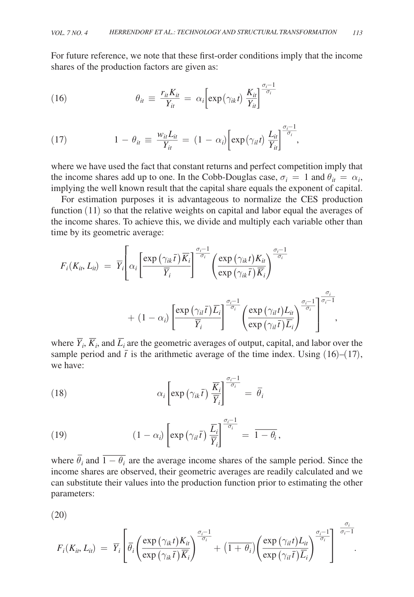For future reference, we note that these first-order conditions imply that the income shares of the production factors are given as:

(16) 
$$
\theta_{it} \equiv \frac{r_{it} K_{it}}{Y_{it}} = \alpha_i \left[ \exp(\gamma_{ik} t) \frac{K_{it}}{Y_{it}} \right]^{\frac{\sigma_i - 1}{\sigma_i}}
$$

(17) 
$$
1 - \theta_{it} \equiv \frac{w_{it} L_{it}}{Y_{it}} = (1 - \alpha_i) \left[ \exp(\gamma_{it} t) \frac{L_{it}}{Y_{it}} \right]^{\frac{\sigma_i - 1}{\sigma_i}},
$$

where we have used the fact that constant returns and perfect competition imply that the income shares add up to one. In the Cobb-Douglas case,  $\sigma_i = 1$  and  $\theta_{it} = \alpha_i$ , implying the well known result that the capital share equals the exponent of capital.

For estimation purposes it is advantageous to normalize the CES production function (11) so that the relative weights on capital and labor equal the averages of the income shares. To achieve this, we divide and multiply each variable other than time by its geometric average:

$$
F_i(K_{ii}, L_{ii}) = \overline{Y}_i \left[ \alpha_i \left[ \frac{\exp(\gamma_{ik}\overline{t})\overline{K}_i}{\overline{Y}_i} \right]^{\frac{\sigma_i - 1}{\sigma_i}} \left( \frac{\exp(\gamma_{ik}t)K_{ii}}{\exp(\gamma_{ik}\overline{t})\overline{K}_i} \right)^{\frac{\sigma_i - 1}{\sigma_i}} + (1 - \alpha_i) \left[ \frac{\exp(\gamma_{il}\overline{t})\overline{L}_i}{\overline{Y}_i} \right]^{\frac{\sigma_i - 1}{\sigma_i}} \left( \frac{\exp(\gamma_{il}t)L_{ii}}{\exp(\gamma_{il}\overline{t})\overline{L}_i} \right)^{\frac{\sigma_i - 1}{\sigma_i}} \right]^{\frac{\sigma_i}{\sigma_i}} ,
$$

where  $\overline{Y}_i$ ,  $\overline{K}_i$ , and  $\overline{L}_i$  are the geometric averages of output, capital, and labor over the sample period and  $\bar{t}$  is the arithmetic average of the time index. Using (16)–(17), we have:

(18) 
$$
\alpha_i \left[ \exp \left( \gamma_{ik} \bar{t} \right) \frac{\overline{K}_i}{\overline{Y}_i} \right]^{\frac{\sigma_i - 1}{\sigma_i}} = \overline{\theta}_i
$$

(19) 
$$
(1 - \alpha_i) \left[ \exp \left( \gamma_{il} \bar{t} \right) \frac{\bar{L}_i}{\bar{Y}_i} \right]^{\frac{\sigma_i - 1}{\sigma_i}} = \overline{1 - \theta_i},
$$

where  $\overline{\theta}_i$  and  $\overline{1-\theta_i}$  are the average income shares of the sample period. Since the income shares are observed, their geometric averages are readily calculated and we can substitute their values into the production function prior to estimating the other parameters:

(20)

$$
F_i(K_{it}, L_{it}) = \overline{Y}_i \left[ \overline{\theta}_i \left( \frac{\exp \left( \gamma_{ik} t \right) K_{it}}{\exp \left( \gamma_{ik} \overline{t} \right) \overline{K}_i} \right)^{\frac{\sigma_i - 1}{\sigma_i}} + \left( \overline{1 + \theta_i} \right) \left( \frac{\exp \left( \gamma_{it} t \right) L_{it}}{\exp \left( \gamma_{it} \overline{t} \right) \overline{L}_i} \right)^{\frac{\sigma_i - 1}{\sigma_i}} \right]^{-\frac{1}{\sigma_i - 1}}.
$$

*\_\_\_\_\_* σ*<sup>i</sup>*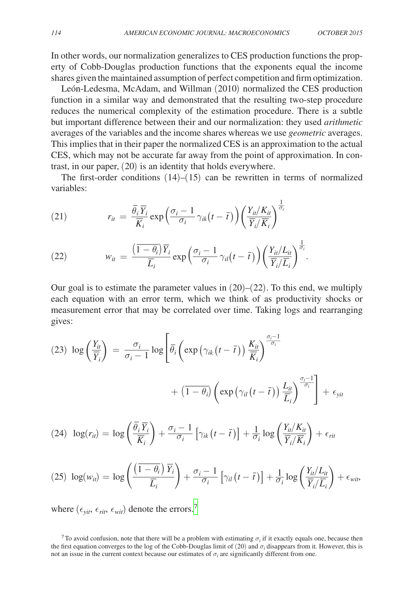In other words, our normalization generalizes to CES production functions the property of Cobb-Douglas production functions that the exponents equal the income shares given the maintained assumption of perfect competition and firm optimization.

León-Ledesma, McAdam, and Willman (2010) normalized the CES production function in a similar way and demonstrated that the resulting two-step procedure reduces the numerical complexity of the estimation procedure. There is a subtle but important difference between their and our normalization: they used *arithmetic* averages of the variables and the income shares whereas we use *geometric* averages. This implies that in their paper the normalized CES is an approximation to the actual CES, which may not be accurate far away from the point of approximation. In contrast, in our paper, (20) is an identity that holds everywhere.

The first-order conditions  $(14)$ – $(15)$  can be rewritten in terms of normalized variables:

(21) 
$$
r_{ii} = \frac{\overline{\theta_i} \overline{Y}_i}{\overline{K}_i} \exp\left(\frac{\sigma_i - 1}{\sigma_i} \gamma_{ik}(t - \overline{t})\right) \left(\frac{Y_{it}/K_{it}}{\overline{Y}_i/\overline{K}_i}\right)^{\frac{1}{\sigma_i}}
$$

(22) 
$$
w_{it} = \frac{\left(\overline{1-\theta_i}\right)\overline{Y}_i}{\overline{L}_i} \exp\left(\frac{\sigma_i-1}{\sigma_i}\gamma_{il}(t-\overline{t})\right) \left(\frac{Y_{it}/L_{it}}{\overline{Y}_i/\overline{L}_i}\right)^{\frac{1}{\sigma_i}}.
$$

Our goal is to estimate the parameter values in  $(20)$ – $(22)$ . To this end, we multiply each equation with an error term, which we think of as productivity shocks or measurement error that may be correlated over time. Taking logs and rearranging gives:

$$
(23) \log\left(\frac{Y_{ii}}{\overline{Y}_{i}}\right) = \frac{\sigma_{i}}{\sigma_{i}-1}\log\left[\overline{\theta}_{i}\left(\exp\left(\gamma_{ik}\left(t-\overline{t}\right)\right)\frac{K_{it}}{\overline{K}_{i}}\right)^{\frac{\sigma_{i}-1}{\sigma_{i}}} + \left(\overline{1-\theta_{i}}\right)\left(\exp\left(\gamma_{il}\left(t-\overline{t}\right)\right)\frac{L_{it}}{\overline{L}_{i}}\right)^{\frac{\sigma_{i}-1}{\sigma_{i}}}\right] + \epsilon_{yit}
$$

(24) 
$$
\log(r_{ii}) = \log\left(\frac{\overline{\theta}_i \overline{Y}_i}{\overline{K}_i}\right) + \frac{\sigma_i - 1}{\sigma_i} \left[\gamma_{ik}\left(t - \overline{t}\right)\right] + \frac{1}{\sigma_i} \log\left(\frac{Y_{ii}/K_{it}}{\overline{Y}_i/\overline{K}_i}\right) + \epsilon_{rit}
$$

$$
(25) \ \log(w_{it}) = \log\left(\frac{\left(\overline{1-\theta_i}\right)\overline{Y}_i}{\overline{L}_i}\right) + \frac{\sigma_i-1}{\sigma_i}\left[\gamma_{il}\left(t-\overline{t}\right)\right] + \frac{1}{\sigma_i}\log\left(\frac{Y_{it}/L_{it}}{\overline{Y}_i/\overline{L}_i}\right) + \epsilon_{\text{wit}},
$$

where  $(\epsilon_{\text{vit}}, \epsilon_{\text{rit}}, \epsilon_{\text{wit}})$  denote the errors.<sup>[7](#page-10-0)</sup>

<span id="page-10-0"></span><sup>7</sup> To avoid confusion, note that there will be a problem with estimating  $\sigma_i$  if it exactly equals one, because then the first equation converges to the log of the Cobb-Douglas limit of  $(20)$  and  $\sigma_i$  disappears from it. However, this is not an issue in the current context because our estimates of  $\sigma_i$  are significantly different from one.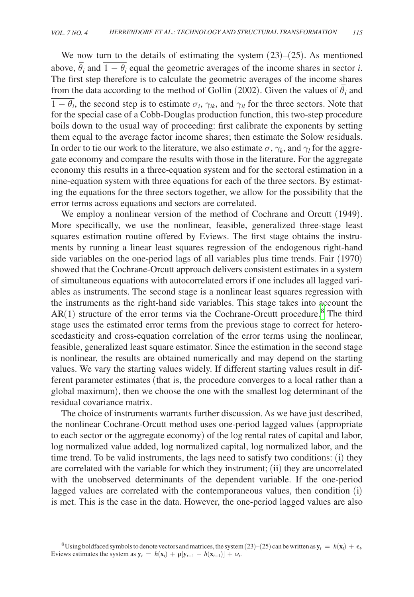We now turn to the details of estimating the system  $(23)$ – $(25)$ . As mentioned we now turn to the details of estimating the system  $(25)-(25)$ . As inentioned above,  $\overline{\theta}_i$  and  $\overline{1-\theta_i}$  equal the geometric averages of the income shares in sector *i*. The first step therefore is to calculate the geometric averages of the income shares The first step therefore is to calculate the geometric averages of the income shares from the data according to the method of Gollin (2002). Given the values of  $\bar{\theta}_i$  and  $\frac{1}{1 - \theta_i}$ , the second step is to estimate  $\sigma_i$ ,  $\gamma_{ik}$ , and  $\gamma_{il}$  for the three sectors. Note that for the special case of a Cobb-Douglas production function, this two-step procedure boils down to the usual way of proceeding: first calibrate the exponents by setting them equal to the average factor income shares; then estimate the Solow residuals. In order to tie our work to the literature, we also estimate  $\sigma$ ,  $\gamma_k$ , and  $\gamma_l$  for the aggregate economy and compare the results with those in the literature. For the aggregate economy this results in a three-equation system and for the sectoral estimation in a nine-equation system with three equations for each of the three sectors. By estimating the equations for the three sectors together, we allow for the possibility that the error terms across equations and sectors are correlated.

We employ a nonlinear version of the method of Cochrane and Orcutt (1949). More specifically, we use the nonlinear, feasible, generalized three-stage least squares estimation routine offered by Eviews. The first stage obtains the instruments by running a linear least squares regression of the endogenous right-hand side variables on the one-period lags of all variables plus time trends. Fair (1970) showed that the Cochrane-Orcutt approach delivers consistent estimates in a system of simultaneous equations with autocorrelated errors if one includes all lagged variables as instruments. The second stage is a nonlinear least squares regression with the instruments as the right-hand side variables. This stage takes into account the  $AR(1)$  structure of the error terms via the Cochrane-Orcutt procedure.<sup>[8](#page-11-0)</sup> The third stage uses the estimated error terms from the previous stage to correct for heteroscedasticity and cross-equation correlation of the error terms using the nonlinear, feasible, generalized least square estimator. Since the estimation in the second stage is nonlinear, the results are obtained numerically and may depend on the starting values. We vary the starting values widely. If different starting values result in different parameter estimates (that is, the procedure converges to a local rather than a global maximum), then we choose the one with the smallest log determinant of the residual covariance matrix.

<span id="page-11-0"></span>The choice of instruments warrants further discussion. As we have just described, the nonlinear Cochrane-Orcutt method uses one-period lagged values (appropriate to each sector or the aggregate economy) of the log rental rates of capital and labor, log normalized value added, log normalized capital, log normalized labor, and the time trend. To be valid instruments, the lags need to satisfy two conditions: (i) they are correlated with the variable for which they instrument; (ii) they are uncorrelated with the unobserved determinants of the dependent variable. If the one-period lagged values are correlated with the contemporaneous values, then condition (i) is met. This is the case in the data. However, the one-period lagged values are also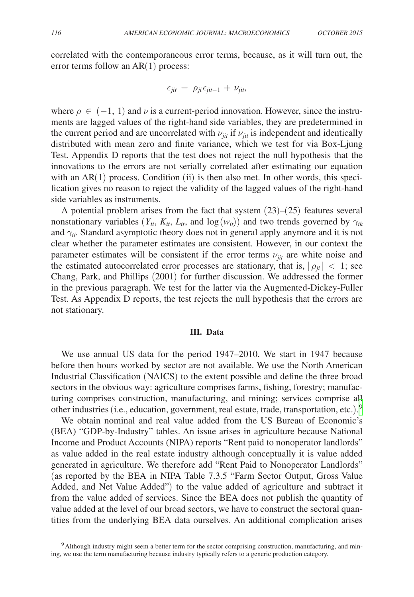correlated with the contemporaneous error terms, because, as it will turn out, the error terms follow an AR(1) process:

$$
\epsilon_{jit} = \rho_{ji}\epsilon_{jit-1} + \nu_{jit},
$$

where  $\rho \in (-1, 1)$  and  $\nu$  is a current-period innovation. However, since the instruments are lagged values of the right-hand side variables, they are predetermined in the current period and are uncorrelated with  $\nu_{ij}$  if  $\nu_{ij}$  is independent and identically distributed with mean zero and finite variance, which we test for via Box-Ljung Test. Appendix D reports that the test does not reject the null hypothesis that the innovations to the errors are not serially correlated after estimating our equation with an  $AR(1)$  process. Condition (ii) is then also met. In other words, this specification gives no reason to reject the validity of the lagged values of the right-hand side variables as instruments.

A potential problem arises from the fact that system  $(23)$ – $(25)$  features several nonstationary variables  $(Y_{it}, K_{it}, L_{it}, \text{ and } \log(w_{it}))$  and two trends governed by  $\gamma_{ik}$ and  $\gamma_{il}$ . Standard asymptotic theory does not in general apply anymore and it is not clear whether the parameter estimates are consistent. However, in our context the parameter estimates will be consistent if the error terms  $\nu_{\text{fit}}$  are white noise and the estimated autocorrelated error processes are stationary, that is,  $|\rho_{ii}| < 1$ ; see Chang, Park, and Phillips (2001) for further discussion. We addressed the former in the previous paragraph. We test for the latter via the Augmented-Dickey-Fuller Test. As Appendix D reports, the test rejects the null hypothesis that the errors are not stationary.

#### **III. Data**

We use annual US data for the period 1947–2010. We start in 1947 because before then hours worked by sector are not available. We use the North American Industrial Classification (NAICS) to the extent possible and define the three broad sectors in the obvious way: agriculture comprises farms, fishing, forestry; manufacturing comprises construction, manufacturing, and mining; services comprise all other industries (i.e., education, government, real estate, trade, transportation, etc.). [9](#page-12-0)

We obtain nominal and real value added from the US Bureau of Economic's (BEA) "GDP-by-Industry" tables. An issue arises in agriculture because National Income and Product Accounts (NIPA) reports "Rent paid to nonoperator landlords" as value added in the real estate industry although conceptually it is value added generated in agriculture. We therefore add "Rent Paid to Nonoperator Landlords" (as reported by the BEA in NIPA Table 7.3.5 "Farm Sector Output, Gross Value Added, and Net Value Added") to the value added of agriculture and subtract it from the value added of services. Since the BEA does not publish the quantity of value added at the level of our broad sectors, we have to construct the sectoral quantities from the underlying BEA data ourselves. An additional complication arises

<span id="page-12-0"></span><sup>&</sup>lt;sup>9</sup>Although industry might seem a better term for the sector comprising construction, manufacturing, and mining, we use the term manufacturing because industry typically refers to a generic production category.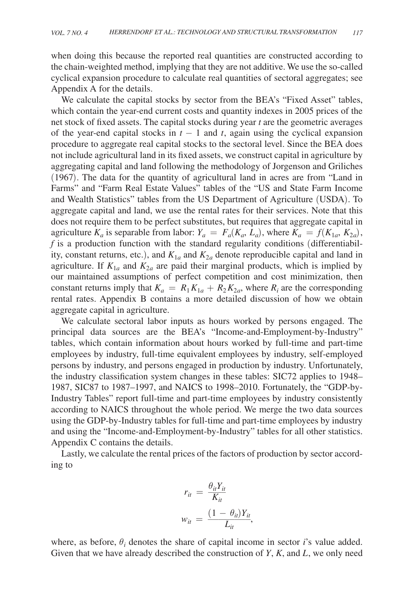when doing this because the reported real quantities are constructed according to the chain-weighted method, implying that they are not additive. We use the so-called cyclical expansion procedure to calculate real quantities of sectoral aggregates; see Appendix A for the details.

We calculate the capital stocks by sector from the BEA's "Fixed Asset" tables, which contain the year-end current costs and quantity indexes in 2005 prices of the net stock of fixed assets. The capital stocks during year *t* are the geometric averages of the year-end capital stocks in  $t - 1$  and  $t$ , again using the cyclical expansion procedure to aggregate real capital stocks to the sectoral level. Since the BEA does not include agricultural land in its fixed assets, we construct capital in agriculture by aggregating capital and land following the methodology of Jorgenson and Griliches (1967). The data for the quantity of agricultural land in acres are from "Land in Farms" and "Farm Real Estate Values" tables of the "US and State Farm Income and Wealth Statistics" tables from the US Department of Agriculture (USDA). To aggregate capital and land, we use the rental rates for their services. Note that this does not require them to be perfect substitutes, but requires that aggregate capital in agriculture  $K_a$  is separable from labor:  $Y_a = F_a(K_a, L_a)$ , where  $K_a = f(K_{1a}, K_{2a})$ , *f* is a production function with the standard regularity conditions (differentiability, constant returns, etc.), and  $K_{1a}$  and  $K_{2a}$  denote reproducible capital and land in agriculture. If  $K_{1a}$  and  $K_{2a}$  are paid their marginal products, which is implied by our maintained assumptions of perfect competition and cost minimization, then constant returns imply that  $K_a = R_1 K_{1a} + R_2 K_{2a}$ , where  $R_i$  are the corresponding rental rates. Appendix B contains a more detailed discussion of how we obtain aggregate capital in agriculture.

We calculate sectoral labor inputs as hours worked by persons engaged. The principal data sources are the BEA's "Income-and-Employment-by-Industry" tables, which contain information about hours worked by full-time and part-time employees by industry, full-time equivalent employees by industry, self-employed persons by industry, and persons engaged in production by industry. Unfortunately, the industry classification system changes in these tables: SIC72 applies to 1948– 1987, SIC87 to 1987–1997, and NAICS to 1998–2010. Fortunately, the "GDP-by-Industry Tables" report full-time and part-time employees by industry consistently according to NAICS throughout the whole period. We merge the two data sources using the GDP-by-Industry tables for full-time and part-time employees by industry and using the "Income-and-Employment-by-Industry" tables for all other statistics. Appendix C contains the details.

Lastly, we calculate the rental prices of the factors of production by sector according to

$$
r_{it} = \frac{\theta_{it} Y_{it}}{K_{it}}
$$

$$
w_{it} = \frac{(1 - \theta_{it}) Y_{it}}{L_{it}},
$$

where, as before,  $\theta_i$  denotes the share of capital income in sector *i*'s value added. Given that we have already described the construction of *Y*, *K*, and *L*, we only need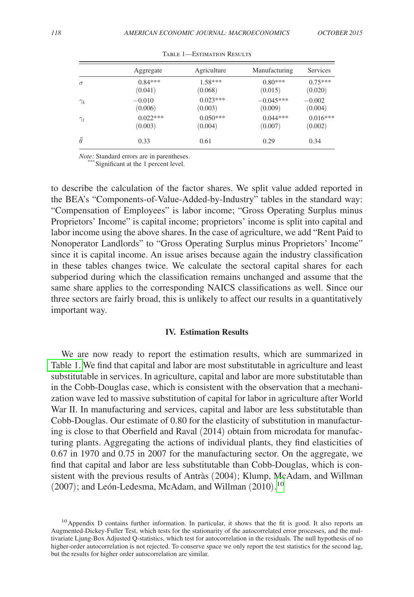|                | Aggregate  | Agriculture | Manufacturing | Services   |
|----------------|------------|-------------|---------------|------------|
| $\sigma$       | $0.84***$  | $1.58***$   | $0.80***$     | $0.75***$  |
|                | (0.041)    | (0.068)     | (0.015)       | (0.020)    |
| $\gamma_k$     | $-0.010$   | $0.023***$  | $-0.045***$   | $-0.002$   |
|                | (0.006)    | (0.003)     | (0.009)       | (0.004)    |
| $\gamma_l$     | $0.022***$ | $0.050***$  | $0.044***$    | $0.016***$ |
|                | (0.003)    | (0.004)     | (0.007)       | (0.002)    |
| $\bar{\theta}$ | 0.33       | 0.61        | 0.29          | 0.34       |

Table 1—Estimation Results

*Note:* Standard errors are in parentheses.<br>\*\*\* Significant at the 1 percent level.

to describe the calculation of the factor shares. We split value added reported in the BEA's "Components-of-Value-Added-by-Industry" tables in the standard way: "Compensation of Employees" is labor income; "Gross Operating Surplus minus Proprietors' Income" is capital income; proprietors' income is split into capital and labor income using the above shares. In the case of agriculture, we add "Rent Paid to Nonoperator Landlords" to "Gross Operating Surplus minus Proprietors' Income" since it is capital income. An issue arises because again the industry classification in these tables changes twice. We calculate the sectoral capital shares for each subperiod during which the classification remains unchanged and assume that the same share applies to the corresponding NAICS classifications as well. Since our three sectors are fairly broad, this is unlikely to affect our results in a quantitatively important way.

#### **IV. Estimation Results**

We are now ready to report the estimation results, which are summarized in Table 1. We find that capital and labor are most substitutable in agriculture and least substitutable in services. In agriculture, capital and labor are more substitutable than in the Cobb-Douglas case, which is consistent with the observation that a mechanization wave led to massive substitution of capital for labor in agriculture after World War II. In manufacturing and services, capital and labor are less substitutable than Cobb-Douglas. Our estimate of 0.80 for the elasticity of substitution in manufacturing is close to that Oberfield and Raval (2014) obtain from microdata for manufacturing plants. Aggregating the actions of individual plants, they find elasticities of 0.67 in 1970 and 0.75 in 2007 for the manufacturing sector. On the aggregate, we find that capital and labor are less substitutable than Cobb-Douglas, which is consistent with the previous results of Antràs (2004); Klump, McAdam, and Willman (2007); and León-Ledesma, McAdam, and Willman  $(2010).^{10}$  $(2010).^{10}$  $(2010).^{10}$ 

<span id="page-14-0"></span><sup>&</sup>lt;sup>10</sup> Appendix D contains further information. In particular, it shows that the fit is good. It also reports an Augmented-Dickey-Fuller Test, which tests for the stationarity of the autocorrelated error processes, and the multivariate Ljung-Box Adjusted Q-statistics, which test for autocorrelation in the residuals. The null hypothesis of no higher-order autocorrelation is not rejected. To conserve space we only report the test statistics for the second lag, but the results for higher order autocorrelation are similar.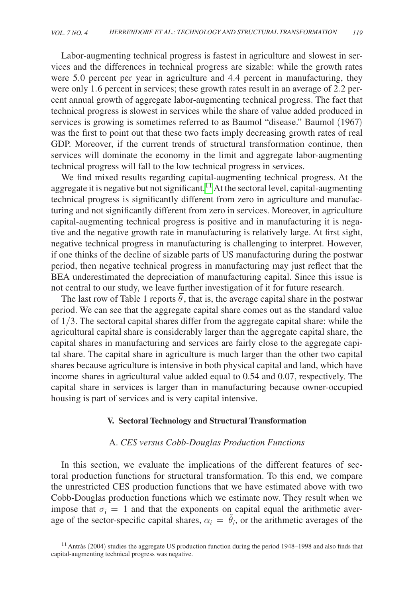Labor-augmenting technical progress is fastest in agriculture and slowest in services and the differences in technical progress are sizable: while the growth rates were 5.0 percent per year in agriculture and 4.4 percent in manufacturing, they were only 1.6 percent in services; these growth rates result in an average of 2.2 percent annual growth of aggregate labor-augmenting technical progress. The fact that technical progress is slowest in services while the share of value added produced in services is growing is sometimes referred to as Baumol "disease." Baumol (1967) was the first to point out that these two facts imply decreasing growth rates of real GDP. Moreover, if the current trends of structural transformation continue, then services will dominate the economy in the limit and aggregate labor-augmenting technical progress will fall to the low technical progress in services.

We find mixed results regarding capital-augmenting technical progress. At the aggregate it is negative but not significant.<sup>11</sup> At the sectoral level, capital-augmenting technical progress is significantly different from zero in agriculture and manufacturing and not significantly different from zero in services. Moreover, in agriculture capital-augmenting technical progress is positive and in manufacturing it is negative and the negative growth rate in manufacturing is relatively large. At first sight, negative technical progress in manufacturing is challenging to interpret. However, if one thinks of the decline of sizable parts of US manufacturing during the postwar period, then negative technical progress in manufacturing may just reflect that the BEA underestimated the depreciation of manufacturing capital. Since this issue is not central to our study, we leave further investigation of it for future research.

t central to our study, we leave further investigation of it for future research.<br>The last row of Table 1 reports  $\bar{\theta}$ , that is, the average capital share in the postwar period. We can see that the aggregate capital share comes out as the standard value of 1/3. The sectoral capital shares differ from the aggregate capital share: while the agricultural capital share is considerably larger than the aggregate capital share, the capital shares in manufacturing and services are fairly close to the aggregate capital share. The capital share in agriculture is much larger than the other two capital shares because agriculture is intensive in both physical capital and land, which have income shares in agricultural value added equal to 0.54 and 0.07, respectively. The capital share in services is larger than in manufacturing because owner-occupied housing is part of services and is very capital intensive.

#### **V. Sectoral Technology and Structural Transformation**

#### A. *CES versus Cobb-Douglas Production Functions*

In this section, we evaluate the implications of the different features of sectoral production functions for structural transformation. To this end, we compare the unrestricted CES production functions that we have estimated above with two Cobb-Douglas production functions which we estimate now. They result when we impose that  $\sigma_i = 1$  and that the exponents on capital equal the arithmetic average of the sector-specific capital shares,  $\alpha_i = \tilde{\theta}_i$ , or the arithmetic averages of the

<span id="page-15-0"></span><sup>&</sup>lt;sup>11</sup> Antràs (2004) studies the aggregate US production function during the period 1948–1998 and also finds that capital-augmenting technical progress was negative.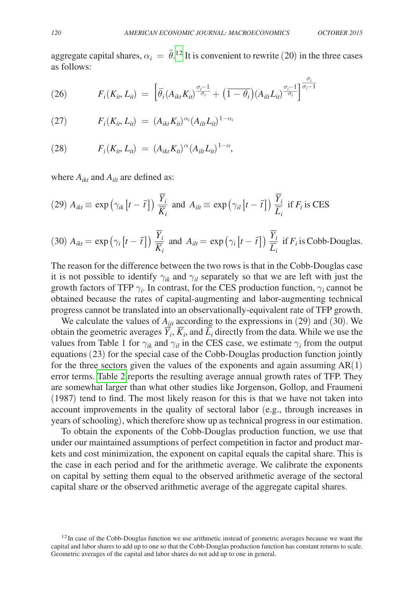*\_\_\_\_\_* σ*<sup>i</sup>*

aggregate capital shares,  $\alpha_i = \tilde{\theta}$ <sup>12</sup> It is convenient to rewrite (20) in the three cases as follows:

(26) 
$$
F_i(K_{it}, L_{it}) = \left[\bar{\theta}_i(A_{ikt}K_{it})^{\frac{\sigma_i-1}{\sigma_i}} + (\overline{1-\theta_i})(A_{it}L_{it})^{\frac{\sigma_i-1}{\sigma_i}}\right]^{\frac{\sigma_i-1}{\sigma_i-1}}
$$

(27) 
$$
F_i(K_{it}, L_{it}) = (A_{ikt}K_{it})^{\alpha_i}(A_{ilt}L_{it})^{1-\alpha_i}
$$

(28) 
$$
F_i(K_{it}, L_{it}) = (A_{ikt}K_{it})^{\alpha} (A_{ilt}L_{it})^{1-\alpha},
$$

where  $A_{ikt}$  and  $A_{ilt}$  are defined as:

(29) 
$$
A_{ikt} \equiv \exp\left(\gamma_{ik}\left[t-\bar{t}\right]\right) \frac{\overline{Y}_i}{\overline{K}_i}
$$
 and  $A_{ilt} \equiv \exp\left(\gamma_{il}\left[t-\bar{t}\right]\right) \frac{\overline{Y}_i}{\overline{L}_i}$  if  $F_i$  is CES

(30) 
$$
A_{ikt} = \exp(\gamma_i [t - \bar{t}]) \frac{\overline{Y}_i}{\overline{K}_i}
$$
 and  $A_{ilt} = \exp(\gamma_i [t - \bar{t}]) \frac{\overline{Y}_i}{\overline{L}_i}$  if  $F_i$  is Cobb-Douglas.

The reason for the difference between the two rows is that in the Cobb-Douglas case it is not possible to identify  $\gamma_{ik}$  and  $\gamma_{il}$  separately so that we are left with just the growth factors of TFP  $\gamma_i$ . In contrast, for the CES production function,  $\gamma_i$  cannot be obtained because the rates of capital-augmenting and labor-augmenting technical progress cannot be translated into an observationally-equivalent rate of TFP growth.

We calculate the values of  $A_{ijt}$  according to the expressions in (29) and (30). We We calculate the values of  $A_{ijt}$  according to the expressions in (29) and (30). We obtain the geometric averages  $\overline{Y}_i$ ,  $\overline{K}_i$ , and  $\overline{L}_i$  directly from the data. While we use the values from Table 1 for  $\gamma_{ik}$  and  $\gamma_{il}$  in the CES case, we estimate  $\gamma_i$  from the output equations (23) for the special case of the Cobb-Douglas production function jointly for the three sectors given the values of the exponents and again assuming  $AR(1)$ error terms. [Table 2](#page-17-0) reports the resulting average annual growth rates of TFP. They are somewhat larger than what other studies like Jorgenson, Gollop, and Fraumeni (1987) tend to find. The most likely reason for this is that we have not taken into account improvements in the quality of sectoral labor (e.g., through increases in years of schooling), which therefore show up as technical progress in our estimation.

To obtain the exponents of the Cobb-Douglas production function, we use that under our maintained assumptions of perfect competition in factor and product markets and cost minimization, the exponent on capital equals the capital share. This is the case in each period and for the arithmetic average. We calibrate the exponents on capital by setting them equal to the observed arithmetic average of the sectoral capital share or the observed arithmetic average of the aggregate capital shares.

<span id="page-16-0"></span> $12$ In case of the Cobb-Douglas function we use arithmetic instead of geometric averages because we want the capital and labor shares to add up to one so that the Cobb-Douglas production function has constant returns to scale. Geometric averages of the capital and labor shares do not add up to one in general.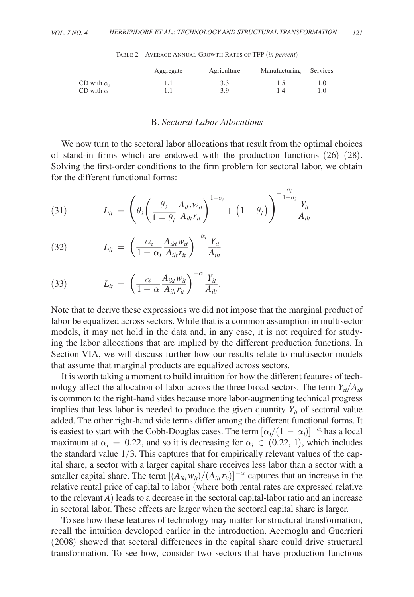<span id="page-17-0"></span>

|                    | Aggregate | Agriculture | Manufacturing | Services |
|--------------------|-----------|-------------|---------------|----------|
| CD with $\alpha_i$ |           | 3.3         |               |          |
| CD with $\alpha$   |           | 3.9         | 1.4           | 1.0      |

Table 2—Average Annual Growth Rates of TFP (*in percent*)

### B. *Sectoral Labor Allocations*

We now turn to the sectoral labor allocations that result from the optimal choices of stand-in firms which are endowed with the production functions (26)–(28). Solving the first-order conditions to the firm problem for sectoral labor, we obtain for the different functional forms:

 $\sigma$ .

(31) 
$$
L_{it} = \left(\bar{\theta}_i \left(\frac{\bar{\theta}_i}{1-\theta_i} \frac{A_{ikt} w_{it}}{A_{ilt} r_{it}}\right)^{1-\sigma_i} + \left(\overline{1-\theta_i}\right)\right)^{-\frac{\sigma_i}{1-\sigma_i}} \frac{Y_{it}}{A_{ilt}}
$$

(32) 
$$
L_{it} = \left(\frac{\alpha_i}{1 - \alpha_i} \frac{A_{ikt} w_{it}}{A_{ilt} r_{it}}\right)^{-\alpha_i} \frac{Y_{it}}{A_{ilt}}
$$

(33) 
$$
L_{it} = \left(\frac{\alpha}{1-\alpha} \frac{A_{ikt} w_{it}}{A_{ilt} r_{it}}\right)^{-\alpha} \frac{Y_{it}}{A_{it}}.
$$

Note that to derive these expressions we did not impose that the marginal product of labor be equalized across sectors. While that is a common assumption in multisector models, it may not hold in the data and, in any case, it is not required for studying the labor allocations that are implied by the different production functions. In Section VIA, we will discuss further how our results relate to multisector models that assume that marginal products are equalized across sectors.

It is worth taking a moment to build intuition for how the different features of technology affect the allocation of labor across the three broad sectors. The term  $Y_{ii}/A_{ii}$ is common to the right-hand sides because more labor-augmenting technical progress implies that less labor is needed to produce the given quantity  $Y_{it}$  of sectoral value added. The other right-hand side terms differ among the different functional forms. It is easiest to start with the Cobb-Douglas cases. The term  $[\alpha_i/(1 - \alpha_i)]^{-\alpha_i}$  has a local maximum at  $\alpha_i = 0.22$ , and so it is decreasing for  $\alpha_i \in (0.22, 1)$ , which includes the standard value  $1/3$ . This captures that for empirically relevant values of the capital share, a sector with a larger capital share receives less labor than a sector with a smaller capital share. The term  $[(A_{ikt}w_{it})/(A_{ilt}r_{it})]^{-\alpha}$  captures that an increase in the relative rental price of capital to labor (where both rental rates are expressed relative to the relevant  $A$ ) leads to a decrease in the sectoral capital-labor ratio and an increase in sectoral labor. These effects are larger when the sectoral capital share is larger.

To see how these features of technology may matter for structural transformation, recall the intuition developed earlier in the introduction. Acemoglu and Guerrieri (2008) showed that sectoral differences in the capital share could drive structural transformation. To see how, consider two sectors that have production functions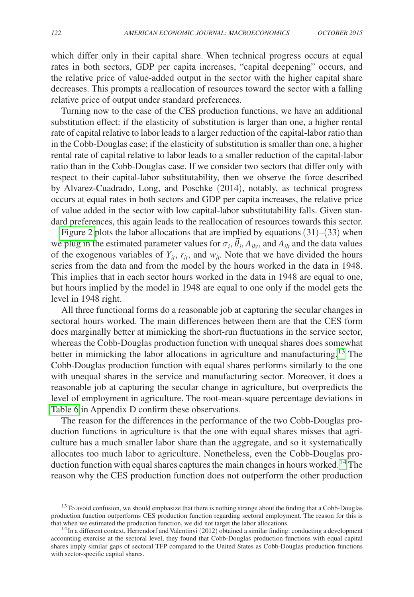which differ only in their capital share. When technical progress occurs at equal rates in both sectors, GDP per capita increases, "capital deepening" occurs, and the relative price of value-added output in the sector with the higher capital share decreases. This prompts a reallocation of resources toward the sector with a falling relative price of output under standard preferences.

Turning now to the case of the CES production functions, we have an additional substitution effect: if the elasticity of substitution is larger than one, a higher rental rate of capital relative to labor leads to a larger reduction of the capital-labor ratio than in the Cobb-Douglas case; if the elasticity of substitution is smaller than one, a higher rental rate of capital relative to labor leads to a smaller reduction of the capital-labor ratio than in the Cobb-Douglas case. If we consider two sectors that differ only with respect to their capital-labor substitutability, then we observe the force described by Alvarez-Cuadrado, Long, and Poschke (2014), notably, as technical progress occurs at equal rates in both sectors and GDP per capita increases, the relative price of value added in the sector with low capital-labor substitutability falls. Given standard preferences, this again leads to the reallocation of resources towards this sector.

[Figure 2](#page-19-0) plots the labor allocations that are implied by equations  $(31)$ – $(33)$  when we plug in the estimated parameter values for  $\sigma_i$ ,  $\theta_i$ ,  $A_{ikt}$ , and  $A_{ilt}$  and the data values of the exogenous variables of  $Y_{it}$ ,  $r_{it}$ , and  $w_{it}$ . Note that we have divided the hours series from the data and from the model by the hours worked in the data in 1948. This implies that in each sector hours worked in the data in 1948 are equal to one, but hours implied by the model in 1948 are equal to one only if the model gets the level in 1948 right.

All three functional forms do a reasonable job at capturing the secular changes in sectoral hours worked. The main differences between them are that the CES form does marginally better at mimicking the short-run fluctuations in the service sector, whereas the Cobb-Douglas production function with unequal shares does somewhat better in mimicking the labor allocations in agriculture and manufacturing.<sup>[13](#page-18-0)</sup> The Cobb-Douglas production function with equal shares performs similarly to the one with unequal shares in the service and manufacturing sector. Moreover, it does a reasonable job at capturing the secular change in agriculture, but overpredicts the level of employment in agriculture. The root-mean-square percentage deviations in [Table 6](#page-29-0) in Appendix D confirm these observations.

The reason for the differences in the performance of the two Cobb-Douglas production functions in agriculture is that the one with equal shares misses that agriculture has a much smaller labor share than the aggregate, and so it systematically allocates too much labor to agriculture. Nonetheless, even the Cobb-Douglas production function with equal shares captures the main changes in hours worked.<sup>14</sup> The reason why the CES production function does not outperform the other production

<span id="page-18-0"></span><sup>&</sup>lt;sup>13</sup>To avoid confusion, we should emphasize that there is nothing strange about the finding that a Cobb-Douglas production function outperforms CES production function regarding sectoral employment. The reason for this is that when we estimated the production function, we did not target the labor allocations.

<span id="page-18-1"></span> $14$ In a different context, Herrendorf and Valentinyi (2012) obtained a similar finding: conducting a development accounting exercise at the sectoral level, they found that Cobb-Douglas production functions with equal capital shares imply similar gaps of sectoral TFP compared to the United States as Cobb-Douglas production functions with sector-specific capital shares.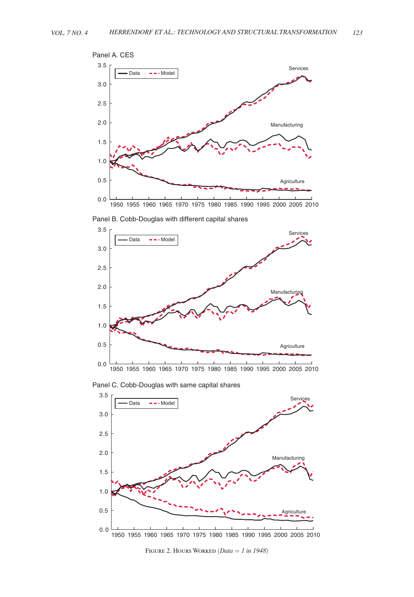<span id="page-19-0"></span>

Panel B. Cobb-Douglas with different capital shares



Panel C. Cobb-Douglas with same capital shares



Figure 2. Hours Worked (*Data* = *1 in 1948*)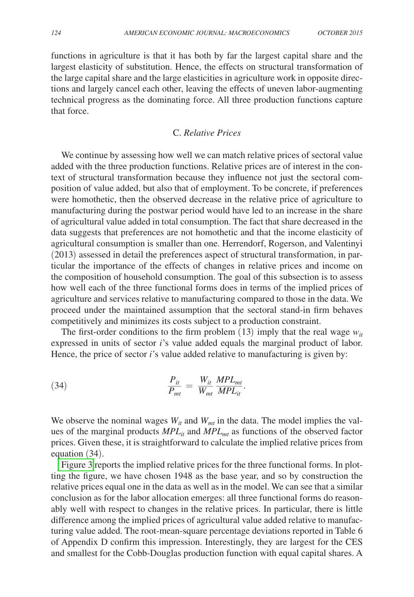functions in agriculture is that it has both by far the largest capital share and the largest elasticity of substitution. Hence, the effects on structural transformation of the large capital share and the large elasticities in agriculture work in opposite directions and largely cancel each other, leaving the effects of uneven labor-augmenting technical progress as the dominating force. All three production functions capture that force.

## C. *Relative Prices*

We continue by assessing how well we can match relative prices of sectoral value added with the three production functions. Relative prices are of interest in the context of structural transformation because they influence not just the sectoral composition of value added, but also that of employment. To be concrete, if preferences were homothetic, then the observed decrease in the relative price of agriculture to manufacturing during the postwar period would have led to an increase in the share of agricultural value added in total consumption. The fact that share decreased in the data suggests that preferences are not homothetic and that the income elasticity of agricultural consumption is smaller than one. Herrendorf, Rogerson, and Valentinyi (2013) assessed in detail the preferences aspect of structural transformation, in particular the importance of the effects of changes in relative prices and income on the composition of household consumption. The goal of this subsection is to assess how well each of the three functional forms does in terms of the implied prices of agriculture and services relative to manufacturing compared to those in the data. We proceed under the maintained assumption that the sectoral stand-in firm behaves competitively and minimizes its costs subject to a production constraint.

The first-order conditions to the firm problem (13) imply that the real wage  $w_{it}$ expressed in units of sector *i*'s value added equals the marginal product of labor. Hence, the price of sector *i*'s value added relative to manufacturing is given by:

(34) 
$$
\frac{P_{it}}{P_{mt}} = \frac{W_{it}}{W_{mt}} \frac{MPL_{mt}}{MPL_{it}}.
$$

We observe the nominal wages  $W_{it}$  and  $W_{mt}$  in the data. The model implies the values of the marginal products *MPLit* and *MPLmt* as functions of the observed factor prices. Given these, it is straightforward to calculate the implied relative prices from equation (34).

[Figure 3](#page-21-0) reports the implied relative prices for the three functional forms. In plotting the figure, we have chosen 1948 as the base year, and so by construction the relative prices equal one in the data as well as in the model. We can see that a similar conclusion as for the labor allocation emerges: all three functional forms do reasonably well with respect to changes in the relative prices. In particular, there is little difference among the implied prices of agricultural value added relative to manufacturing value added. The root-mean-square percentage deviations reported in Table 6 of Appendix D confirm this impression. Interestingly, they are largest for the CES and smallest for the Cobb-Douglas production function with equal capital shares. A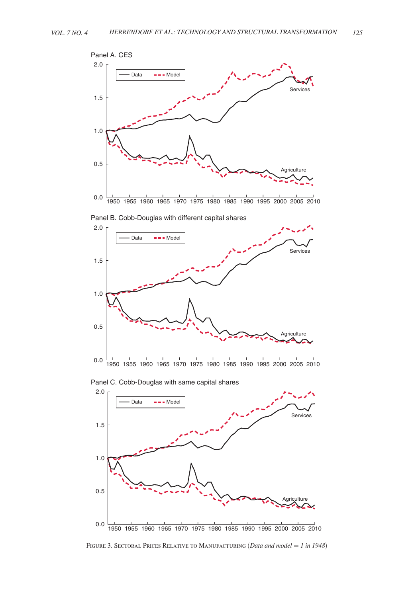<span id="page-21-0"></span>

Panel B. Cobb-Douglas with different capital shares



Panel C. Cobb-Douglas with same capital shares



Figure 3. Sectoral Prices Relative to Manufacturing (*Data and model* = *1 in 1948*)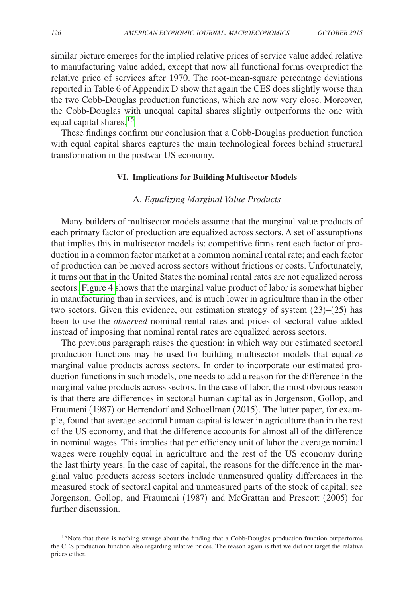similar picture emerges for the implied relative prices of service value added relative to manufacturing value added, except that now all functional forms overpredict the relative price of services after 1970. The root-mean-square percentage deviations reported in Table 6 of Appendix D show that again the CES does slightly worse than the two Cobb-Douglas production functions, which are now very close. Moreover, the Cobb-Douglas with unequal capital shares slightly outperforms the one with equal capital shares.<sup>[15](#page-22-0)</sup>

These findings confirm our conclusion that a Cobb-Douglas production function with equal capital shares captures the main technological forces behind structural transformation in the postwar US economy.

#### **VI. Implications for Building Multisector Models**

#### A. *Equalizing Marginal Value Products*

Many builders of multisector models assume that the marginal value products of each primary factor of production are equalized across sectors. A set of assumptions that implies this in multisector models is: competitive firms rent each factor of production in a common factor market at a common nominal rental rate; and each factor of production can be moved across sectors without frictions or costs. Unfortunately, it turns out that in the United States the nominal rental rates are not equalized across sectors. [Figure 4](#page-23-0) shows that the marginal value product of labor is somewhat higher in manufacturing than in services, and is much lower in agriculture than in the other two sectors. Given this evidence, our estimation strategy of system  $(23)$ – $(25)$  has been to use the *observed* nominal rental rates and prices of sectoral value added instead of imposing that nominal rental rates are equalized across sectors.

The previous paragraph raises the question: in which way our estimated sectoral production functions may be used for building multisector models that equalize marginal value products across sectors. In order to incorporate our estimated production functions in such models, one needs to add a reason for the difference in the marginal value products across sectors. In the case of labor, the most obvious reason is that there are differences in sectoral human capital as in Jorgenson, Gollop, and Fraumeni (1987) or Herrendorf and Schoellman (2015). The latter paper, for example, found that average sectoral human capital is lower in agriculture than in the rest of the US economy, and that the difference accounts for almost all of the difference in nominal wages. This implies that per efficiency unit of labor the average nominal wages were roughly equal in agriculture and the rest of the US economy during the last thirty years. In the case of capital, the reasons for the difference in the marginal value products across sectors include unmeasured quality differences in the measured stock of sectoral capital and unmeasured parts of the stock of capital; see Jorgenson, Gollop, and Fraumeni (1987) and McGrattan and Prescott (2005) for further discussion.

<span id="page-22-0"></span><sup>&</sup>lt;sup>15</sup>Note that there is nothing strange about the finding that a Cobb-Douglas production function outperforms the CES production function also regarding relative prices. The reason again is that we did not target the relative prices either.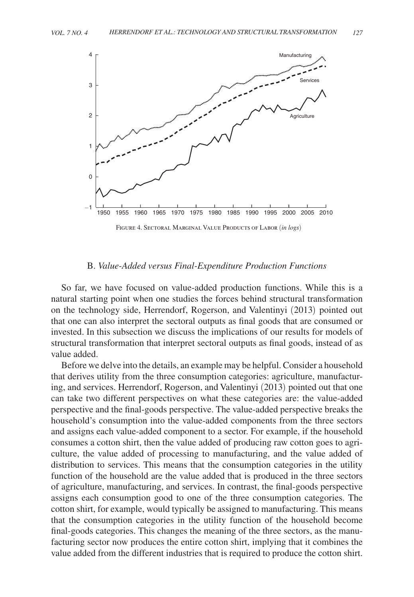<span id="page-23-0"></span>

#### B. *Value-Added versus Final-Expenditure Production Functions*

So far, we have focused on value-added production functions. While this is a natural starting point when one studies the forces behind structural transformation on the technology side, Herrendorf, Rogerson, and Valentinyi (2013) pointed out that one can also interpret the sectoral outputs as final goods that are consumed or invested. In this subsection we discuss the implications of our results for models of structural transformation that interpret sectoral outputs as final goods, instead of as value added.

Before we delve into the details, an example may be helpful. Consider a household that derives utility from the three consumption categories: agriculture, manufacturing, and services. Herrendorf, Rogerson, and Valentinyi (2013) pointed out that one can take two different perspectives on what these categories are: the value-added perspective and the final-goods perspective. The value-added perspective breaks the household's consumption into the value-added components from the three sectors and assigns each value-added component to a sector. For example, if the household consumes a cotton shirt, then the value added of producing raw cotton goes to agriculture, the value added of processing to manufacturing, and the value added of distribution to services. This means that the consumption categories in the utility function of the household are the value added that is produced in the three sectors of agriculture, manufacturing, and services. In contrast, the final-goods perspective assigns each consumption good to one of the three consumption categories. The cotton shirt, for example, would typically be assigned to manufacturing. This means that the consumption categories in the utility function of the household become final-goods categories. This changes the meaning of the three sectors, as the manufacturing sector now produces the entire cotton shirt, implying that it combines the value added from the different industries that is required to produce the cotton shirt.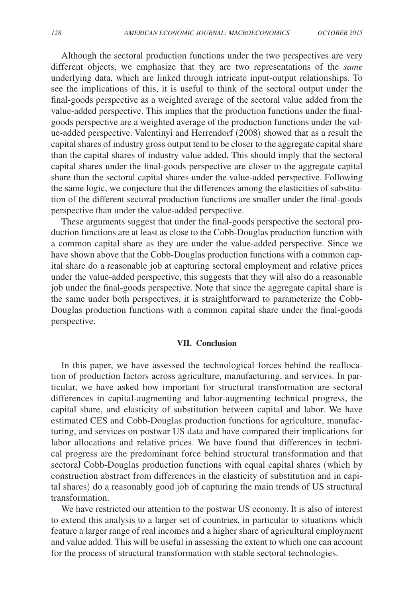Although the sectoral production functions under the two perspectives are very different objects, we emphasize that they are two representations of the *same* underlying data, which are linked through intricate input-output relationships. To see the implications of this, it is useful to think of the sectoral output under the final-goods perspective as a weighted average of the sectoral value added from the value-added perspective. This implies that the production functions under the finalgoods perspective are a weighted average of the production functions under the value-added perspective. Valentinyi and Herrendorf (2008) showed that as a result the capital shares of industry gross output tend to be closer to the aggregate capital share than the capital shares of industry value added. This should imply that the sectoral capital shares under the final-goods perspective are closer to the aggregate capital share than the sectoral capital shares under the value-added perspective. Following the same logic, we conjecture that the differences among the elasticities of substitution of the different sectoral production functions are smaller under the final-goods perspective than under the value-added perspective.

These arguments suggest that under the final-goods perspective the sectoral production functions are at least as close to the Cobb-Douglas production function with a common capital share as they are under the value-added perspective. Since we have shown above that the Cobb-Douglas production functions with a common capital share do a reasonable job at capturing sectoral employment and relative prices under the value-added perspective, this suggests that they will also do a reasonable job under the final-goods perspective. Note that since the aggregate capital share is the same under both perspectives, it is straightforward to parameterize the Cobb-Douglas production functions with a common capital share under the final-goods perspective.

#### **VII. Conclusion**

In this paper, we have assessed the technological forces behind the reallocation of production factors across agriculture, manufacturing, and services. In particular, we have asked how important for structural transformation are sectoral differences in capital-augmenting and labor-augmenting technical progress, the capital share, and elasticity of substitution between capital and labor. We have estimated CES and Cobb-Douglas production functions for agriculture, manufacturing, and services on postwar US data and have compared their implications for labor allocations and relative prices. We have found that differences in technical progress are the predominant force behind structural transformation and that sectoral Cobb-Douglas production functions with equal capital shares (which by construction abstract from differences in the elasticity of substitution and in capital shares) do a reasonably good job of capturing the main trends of US structural transformation.

We have restricted our attention to the postwar US economy. It is also of interest to extend this analysis to a larger set of countries, in particular to situations which feature a larger range of real incomes and a higher share of agricultural employment and value added. This will be useful in assessing the extent to which one can account for the process of structural transformation with stable sectoral technologies.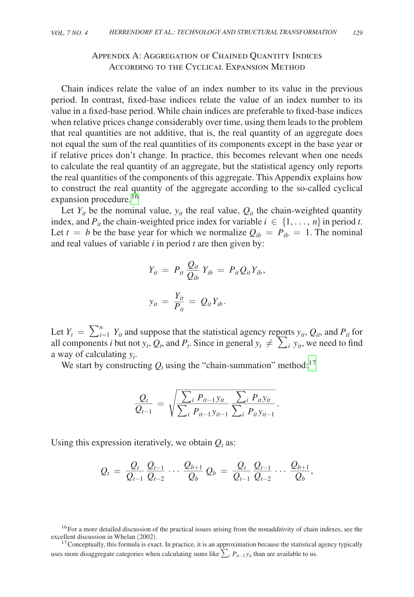## Appendix A: Aggregation of Chained Quantity Indices According to the Cyclical Expansion Method

Chain indices relate the value of an index number to its value in the previous period. In contrast, fixed-base indices relate the value of an index number to its value in a fixed-base period. While chain indices are preferable to fixed-base indices when relative prices change considerably over time, using them leads to the problem that real quantities are not additive, that is, the real quantity of an aggregate does not equal the sum of the real quantities of its components except in the base year or if relative prices don't change. In practice, this becomes relevant when one needs to calculate the real quantity of an aggregate, but the statistical agency only reports the real quantities of the components of this aggregate. This Appendix explains how to construct the real quantity of the aggregate according to the so-called cyclical expansion procedure.<sup>[16](#page-25-0)</sup>

Let  $Y_{it}$  be the nominal value,  $y_{it}$  the real value,  $Q_{it}$  the chain-weighted quantity index, and  $P_{it}$  the chain-weighted price index for variable  $i \in \{1, \ldots, n\}$  in period *t*. Let  $t = b$  be the base year for which we normalize  $Q_{ib} = P_{ib} = 1$ . The nominal and real values of variable *i* in period *t* are then given by:

$$
Y_{it} = P_{it} \frac{Q_{it}}{Q_{ib}} Y_{ib} = P_{it} Q_{it} Y_{ib},
$$

$$
y_{it} = \frac{Y_{it}}{P_{it}} = Q_{it} Y_{ib}.
$$

Let  $Y_t = \sum_{i=1}^n Y_{it}$  and suppose that the statistical agency reports  $y_{it}$ ,  $Q_{it}$ , and  $P_{it}$  for all components *i* but not  $y_t$ ,  $Q_t$ , and  $P_t$ . Since in general  $y_t \neq \sum_i y_{it}$ , we need to find a way of calculating *yt* .

We start by constructing  $Q_t$  using the "chain-summation" method:<sup>17</sup>

$$
\frac{Q_t}{Q_{t-1}} = \sqrt{\frac{\sum_i P_{it-1}y_{it}}{\sum_i P_{it-1}y_{it-1}} \frac{\sum_i P_{it}y_{it}}{\sum_i P_{it}y_{it-1}}}.
$$

Using this expression iteratively, we obtain  $Q_t$  as:

$$
\mathcal{Q}_t \,=\, \frac{\mathcal{Q}_t}{\mathcal{Q}_{t-1}}\, \frac{\mathcal{Q}_{t-1}}{\mathcal{Q}_{t-2}}\, \cdots\, \frac{\mathcal{Q}_{b+1}}{\mathcal{Q}_b}\, \mathcal{Q}_b \,=\, \frac{\mathcal{Q}_t}{\mathcal{Q}_{t-1}}\, \frac{\mathcal{Q}_{t-1}}{\mathcal{Q}_{t-2}}\, \cdots\, \frac{\mathcal{Q}_{b+1}}{\mathcal{Q}_b},
$$

<span id="page-25-0"></span> $16$ For a more detailed discussion of the practical issues arising from the nonadditivity of chain indexes, see the excellent discussion in Whelan (2002).

<span id="page-25-1"></span><sup>&</sup>lt;sup>17</sup> Conceptually, this formula is exact. In practice, it is an approximation because the statistical agency typically uses more disaggregate categories when calculating sums like  $\sum_{i} P_{it-1} y_{it}$  than are available to us.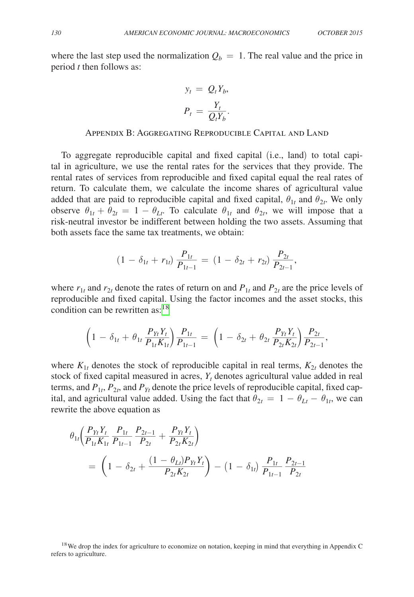where the last step used the normalization  $Q_b = 1$ . The real value and the price in period *t* then follows as:

$$
y_t = Q_t Y_b,
$$
  

$$
P_t = \frac{Y_t}{Q_t Y_b}.
$$

#### Appendix B: Aggregating Reproducible Capital and Land

To aggregate reproducible capital and fixed capital (i.e., land) to total capital in agriculture, we use the rental rates for the services that they provide. The rental rates of services from reproducible and fixed capital equal the real rates of return. To calculate them, we calculate the income shares of agricultural value added that are paid to reproducible capital and fixed capital,  $\theta_{1t}$  and  $\theta_{2t}$ . We only observe  $\theta_{1t} + \theta_{2t} = 1 - \theta_{Lt}$ . To calculate  $\theta_{1t}$  and  $\theta_{2t}$ , we will impose that a risk-neutral investor be indifferent between holding the two assets. Assuming that both assets face the same tax treatments, we obtain:

$$
(1 - \delta_{1t} + r_{1t}) \frac{P_{1t}}{P_{1t-1}} = (1 - \delta_{2t} + r_{2t}) \frac{P_{2t}}{P_{2t-1}},
$$

where  $r_{1t}$  and  $r_{2t}$  denote the rates of return on and  $P_{1t}$  and  $P_{2t}$  are the price levels of reproducible and fixed capital. Using the factor incomes and the asset stocks, this condition can be rewritten as: $18$ 

$$
\left(1 - \delta_{1t} + \theta_{1t} \frac{P_{Yt}Y_t}{P_{1t}K_{1t}}\right) \frac{P_{1t}}{P_{1t-1}} = \left(1 - \delta_{2t} + \theta_{2t} \frac{P_{Yt}Y_t}{P_{2t}K_{2t}}\right) \frac{P_{2t}}{P_{2t-1}},
$$

where  $K_{1t}$  denotes the stock of reproducible capital in real terms,  $K_{2t}$  denotes the stock of fixed capital measured in acres,  $Y_t$  denotes agricultural value added in real terms, and  $P_{1t}$ ,  $P_{2t}$ , and  $P_{Yt}$  denote the price levels of reproducible capital, fixed capital, and agricultural value added. Using the fact that  $\theta_{2t} = 1 - \theta_{Lt} - \theta_{1t}$ , we can rewrite the above equation as

$$
\theta_{1t} \left( \frac{P_{Yt} Y_t}{P_{1t} K_{1t}} \frac{P_{1t}}{P_{1t-1}} \frac{P_{2t-1}}{P_{2t}} + \frac{P_{Yt} Y_t}{P_{2t} K_{2t}} \right)
$$
\n
$$
= \left( 1 - \delta_{2t} + \frac{(1 - \theta_{Lt}) P_{Yt} Y_t}{P_{2t} K_{2t}} \right) - \left( 1 - \delta_{1t} \right) \frac{P_{1t}}{P_{1t-1}} \frac{P_{2t-1}}{P_{2t}}
$$

<span id="page-26-0"></span><sup>&</sup>lt;sup>18</sup>We drop the index for agriculture to economize on notation, keeping in mind that everything in Appendix C refers to agriculture.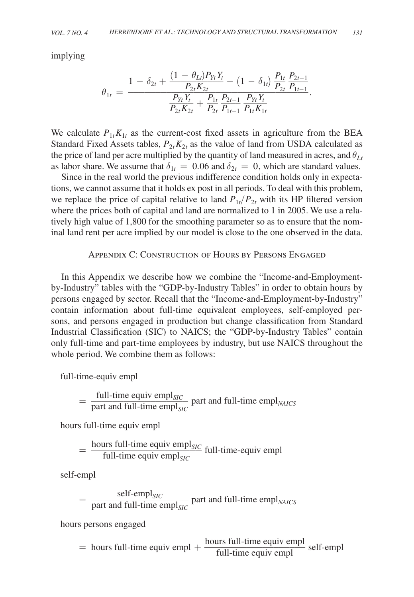implying

$$
\theta_{1t} = \frac{1 - \delta_{2t} + \frac{(1 - \theta_{Lt})P_{Yt}Y_t}{P_{2t}K_{2t}} - (1 - \delta_{1t})\frac{P_{1t}}{P_{2t}}\frac{P_{2t-1}}{P_{1t-1}}}{P_{2t}K_{2t} + \frac{P_{1t}}{P_{2t}}\frac{P_{2t-1}}{P_{1t-1}}\frac{P_{Yt}Y_t}{P_{1t}K_{1t}}}.
$$

We calculate  $P_{1t}K_{1t}$  as the current-cost fixed assets in agriculture from the BEA Standard Fixed Assets tables,  $P_{2t}K_{2t}$  as the value of land from USDA calculated as the price of land per acre multiplied by the quantity of land measured in acres, and  $\theta_{Lt}$ as labor share. We assume that  $\delta_{1t} = 0.06$  and  $\delta_{2t} = 0$ , which are standard values.

Since in the real world the previous indifference condition holds only in expectations, we cannot assume that it holds ex post in all periods. To deal with this problem, we replace the price of capital relative to land  $P_{1t}/P_{2t}$  with its HP filtered version where the prices both of capital and land are normalized to 1 in 2005. We use a relatively high value of 1,800 for the smoothing parameter so as to ensure that the nominal land rent per acre implied by our model is close to the one observed in the data.

### Appendix C: Construction of Hours by Persons Engaged

In this Appendix we describe how we combine the "Income-and-Employmentby-Industry" tables with the "GDP-by-Industry Tables" in order to obtain hours by persons engaged by sector. Recall that the "Income-and-Employment-by-Industry" contain information about full-time equivalent employees, self-employed persons, and persons engaged in production but change classification from Standard Industrial Classification (SIC) to NAICS; the "GDP-by-Industry Tables" contain only full-time and part-time employees by industry, but use NAICS throughout the whole period. We combine them as follows:

full-time-equiv empl

full-time equity 
$$
\text{empl}_{SIC}
$$

\n
$$
= \frac{\text{full-time equity } \text{empl}_{SIC}}{\text{part and full-time } \text{empl}_{SIC}}
$$

\npart and full-time  $\text{empl}_{SIC}$ 

hours full-time equiv empl

hours full-time equity empl
$$
= \frac{\text{hours full-time equity empl}_{SIC}}{\text{full-time equity empl}_{SIC}} \text{full-time-equiv empl}
$$

self-empl

self-empty  
\n
$$
= \frac{\text{self-empty}}{\text{part and full-time } \text{empl}_{SIC}} \text{ part and full-time } \text{empl}_{NACS}
$$
\n
$$
= \text{length} \times \text{length} \times \text{length}
$$

hours persons engaged

hours persons engaged 
$$
=
$$
 hours full-time equity empl  $+ \frac{\text{hours full-time equity empl}}{\text{full-time equity empl}}$  self-empl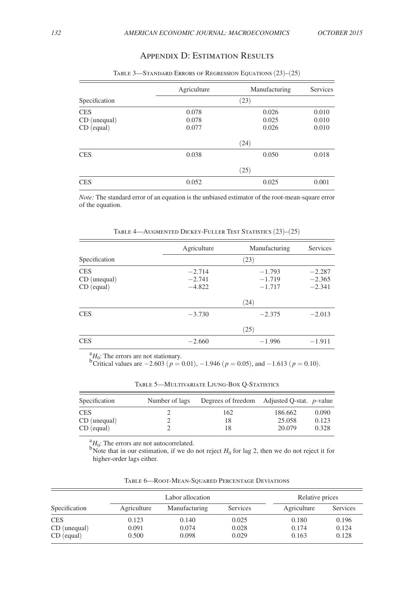÷

# Appendix D: Estimation Results

|               | Agriculture | Manufacturing | Services |  |  |
|---------------|-------------|---------------|----------|--|--|
| Specification | (23)        |               |          |  |  |
| <b>CES</b>    | 0.078       | 0.026         | 0.010    |  |  |
| CD (unequal)  | 0.078       | 0.025         | 0.010    |  |  |
| CD (equal)    | 0.077       | 0.026         | 0.010    |  |  |
|               |             | (24)          |          |  |  |
| <b>CES</b>    | 0.038       | 0.050         | 0.018    |  |  |
|               |             | (25)          |          |  |  |
| <b>CES</b>    | 0.052       | 0.025         | 0.001    |  |  |

Table 3—Standard Errors of Regression Equations (23)–(25)

*Note:* The standard error of an equation is the unbiased estimator of the root-mean-square error of the equation.

|                                            | Agriculture                      | Manufacturing                    | Services                         |
|--------------------------------------------|----------------------------------|----------------------------------|----------------------------------|
| Specification                              |                                  | (23)                             |                                  |
| <b>CES</b><br>CD (unequal)<br>$CD$ (equal) | $-2.714$<br>$-2.741$<br>$-4.822$ | $-1.793$<br>$-1.719$<br>$-1.717$ | $-2.287$<br>$-2.365$<br>$-2.341$ |
|                                            |                                  | (24)                             |                                  |
| <b>CES</b>                                 | $-3.730$                         | $-2.375$                         | $-2.013$                         |
|                                            |                                  | (25)                             |                                  |
| <b>CES</b>                                 | $-2.660$                         | $-1.996$                         | $-1.911$                         |

Table 4—Augmented Dickey-Fuller Test Statistics (23)–(25)

 ${}^{a}_{b}H_{0}$ : The errors are not stationary.<br><sup>b</sup>Critical values are −2.603 (*p* = 0.01), −1.946 (*p* = 0.05), and −1.613 (*p* = 0.10).

| TABLE 5-MULTIVARIATE LJUNG-BOX Q-STATISTICS |  |  |
|---------------------------------------------|--|--|
|---------------------------------------------|--|--|

| Specification | Number of lags | Degrees of freedom Adjusted Q-stat. <i>p</i> -value |         |       |
|---------------|----------------|-----------------------------------------------------|---------|-------|
| <b>CES</b>    |                | 162                                                 | 186.662 | 0.090 |
| CD (unequal)  |                | 18                                                  | 25.058  | 0.123 |
| $CD$ (equal)  |                | 18                                                  | 20.079  | 0.328 |

 $^{a}_{a}H_{0}$ : The errors are not autocorrelated.

<sup>b</sup>Note that in our estimation, if we do not reject  $H_0$  for lag 2, then we do not reject it for higher-order lags either.

|               | Labor allocation |               | Relative prices |             |          |
|---------------|------------------|---------------|-----------------|-------------|----------|
| Specification | Agriculture      | Manufacturing | Services        | Agriculture | Services |
| CES           | 0.123            | 0.140         | 0.025           | 0.180       | 0.196    |
| CD (unequal)  | 0.091            | 0.074         | 0.028           | 0.174       | 0.124    |
| $CD$ (equal)  | 0.500            | 0.098         | 0.029           | 0.163       | 0.128    |

Table 6—Root-Mean-Squared Percentage Deviations